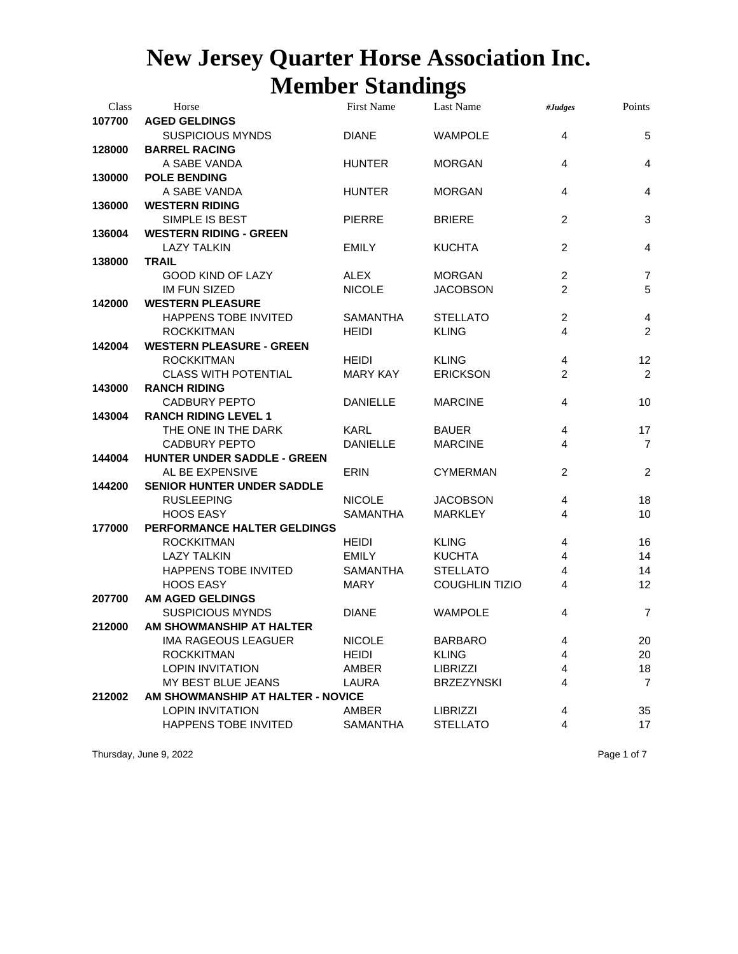| Class  | Horse                             | <b>First Name</b> | Last Name             | #Judges        | Points         |
|--------|-----------------------------------|-------------------|-----------------------|----------------|----------------|
| 107700 | <b>AGED GELDINGS</b>              |                   |                       |                |                |
|        | <b>SUSPICIOUS MYNDS</b>           | <b>DIANE</b>      | <b>WAMPOLE</b>        | $\overline{4}$ | 5              |
| 128000 | <b>BARREL RACING</b>              |                   |                       |                |                |
|        | A SABE VANDA                      | <b>HUNTER</b>     | <b>MORGAN</b>         | 4              | $\overline{4}$ |
| 130000 | <b>POLE BENDING</b>               |                   |                       |                |                |
|        | A SABE VANDA                      | <b>HUNTER</b>     | <b>MORGAN</b>         | $\overline{4}$ | $\overline{4}$ |
| 136000 | <b>WESTERN RIDING</b>             |                   |                       |                |                |
|        | SIMPLE IS BEST                    | <b>PIERRE</b>     | <b>BRIERE</b>         | $\overline{c}$ | 3              |
| 136004 | <b>WESTERN RIDING - GREEN</b>     |                   |                       |                |                |
|        | <b>LAZY TALKIN</b>                | <b>EMILY</b>      | <b>KUCHTA</b>         | 2              | 4              |
| 138000 | <b>TRAIL</b>                      |                   |                       |                |                |
|        | <b>GOOD KIND OF LAZY</b>          | <b>ALEX</b>       | <b>MORGAN</b>         | $\overline{2}$ | $\overline{7}$ |
|        | <b>IM FUN SIZED</b>               | <b>NICOLE</b>     | <b>JACOBSON</b>       | 2              | 5              |
| 142000 | <b>WESTERN PLEASURE</b>           |                   |                       |                |                |
|        | HAPPENS TOBE INVITED              | <b>SAMANTHA</b>   | <b>STELLATO</b>       | 2              | 4              |
|        | <b>ROCKKITMAN</b>                 | <b>HEIDI</b>      | <b>KLING</b>          | 4              | $\overline{2}$ |
| 142004 | <b>WESTERN PLEASURE - GREEN</b>   |                   |                       |                |                |
|        | <b>ROCKKITMAN</b>                 | <b>HEIDI</b>      | <b>KLING</b>          | 4              | 12             |
|        | <b>CLASS WITH POTENTIAL</b>       | <b>MARY KAY</b>   | <b>ERICKSON</b>       | $\overline{2}$ | $\overline{2}$ |
| 143000 | <b>RANCH RIDING</b>               |                   |                       |                |                |
|        | <b>CADBURY PEPTO</b>              | <b>DANIELLE</b>   | <b>MARCINE</b>        | $\overline{4}$ | 10             |
| 143004 | <b>RANCH RIDING LEVEL 1</b>       |                   |                       |                |                |
|        | THE ONE IN THE DARK               | <b>KARL</b>       | <b>BAUER</b>          | 4              | 17             |
|        | <b>CADBURY PEPTO</b>              | <b>DANIELLE</b>   | <b>MARCINE</b>        | 4              | $\overline{7}$ |
| 144004 | HUNTER UNDER SADDLE - GREEN       |                   |                       |                |                |
|        | AL BE EXPENSIVE                   | <b>ERIN</b>       | <b>CYMERMAN</b>       | 2              | $\overline{2}$ |
| 144200 | <b>SENIOR HUNTER UNDER SADDLE</b> |                   |                       |                |                |
|        | <b>RUSLEEPING</b>                 | <b>NICOLE</b>     | <b>JACOBSON</b>       | 4              | 18             |
|        | <b>HOOS EASY</b>                  | <b>SAMANTHA</b>   | <b>MARKLEY</b>        | 4              | 10             |
| 177000 | PERFORMANCE HALTER GELDINGS       |                   |                       |                |                |
|        | <b>ROCKKITMAN</b>                 | <b>HEIDI</b>      | <b>KLING</b>          | 4              | 16             |
|        | <b>LAZY TALKIN</b>                | <b>EMILY</b>      | <b>KUCHTA</b>         | 4              | 14             |
|        | HAPPENS TOBE INVITED              | <b>SAMANTHA</b>   | <b>STELLATO</b>       | 4              | 14             |
|        | <b>HOOS EASY</b>                  | <b>MARY</b>       | <b>COUGHLIN TIZIO</b> | 4              | 12             |
| 207700 | <b>AM AGED GELDINGS</b>           |                   |                       |                |                |
|        | <b>SUSPICIOUS MYNDS</b>           | <b>DIANE</b>      | <b>WAMPOLE</b>        | 4              | 7              |
| 212000 | AM SHOWMANSHIP AT HALTER          |                   |                       |                |                |
|        | IMA RAGEOUS LEAGUER               | <b>NICOLE</b>     | <b>BARBARO</b>        | 4              | 20             |
|        | <b>ROCKKITMAN</b>                 | <b>HEIDI</b>      | <b>KLING</b>          | 4              | 20             |
|        | <b>LOPIN INVITATION</b>           | AMBER             | <b>LIBRIZZI</b>       | 4              | 18             |
|        | MY BEST BLUE JEANS                | LAURA             | <b>BRZEZYNSKI</b>     | 4              | $\overline{7}$ |
| 212002 | AM SHOWMANSHIP AT HALTER - NOVICE |                   |                       |                |                |
|        | <b>LOPIN INVITATION</b>           | AMBER             | <b>LIBRIZZI</b>       | 4              | 35             |
|        | HAPPENS TOBE INVITED              | SAMANTHA          | <b>STELLATO</b>       | 4              | 17             |

Thursday, June 9, 2022 **Page 1 of 7** Page 1 of 7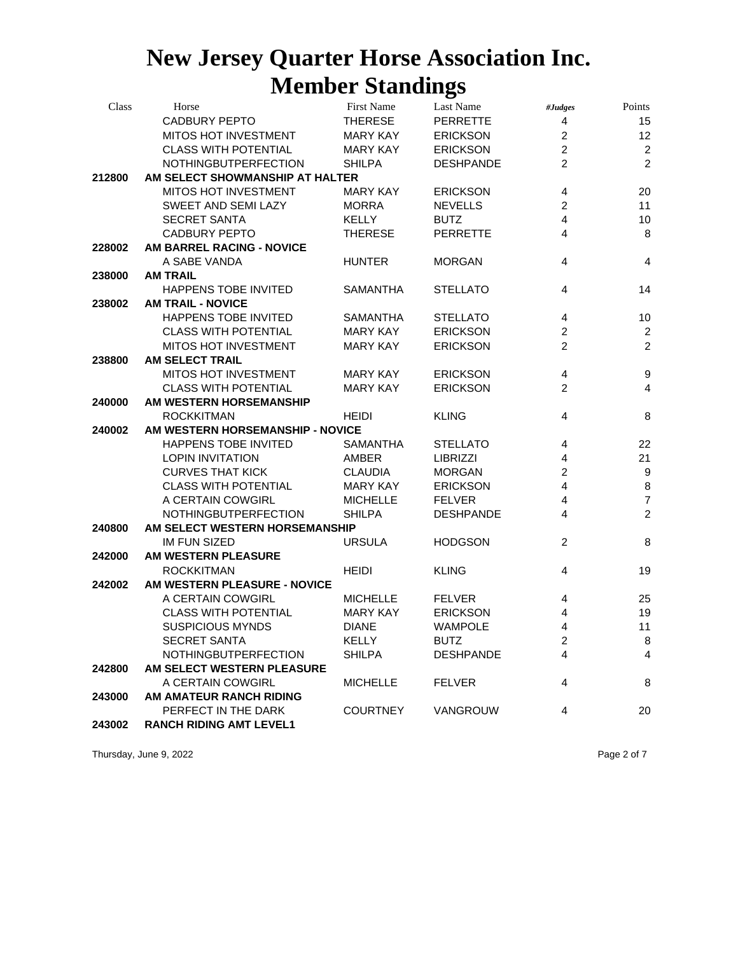| Class  | Horse                            | First Name      | Last Name        | #Judges                 | Points           |
|--------|----------------------------------|-----------------|------------------|-------------------------|------------------|
|        | <b>CADBURY PEPTO</b>             | <b>THERESE</b>  | <b>PERRETTE</b>  | $\overline{\mathbf{4}}$ | 15               |
|        | MITOS HOT INVESTMENT             | <b>MARY KAY</b> | <b>ERICKSON</b>  | 2                       | 12               |
|        | <b>CLASS WITH POTENTIAL</b>      | <b>MARY KAY</b> | <b>ERICKSON</b>  | $\overline{2}$          | $\overline{c}$   |
|        | NOTHINGBUTPERFECTION             | <b>SHILPA</b>   | <b>DESHPANDE</b> | $\overline{2}$          | $\overline{2}$   |
| 212800 | AM SELECT SHOWMANSHIP AT HALTER  |                 |                  |                         |                  |
|        | <b>MITOS HOT INVESTMENT</b>      | <b>MARY KAY</b> | <b>ERICKSON</b>  | 4                       | 20               |
|        | SWEET AND SEMI LAZY              | <b>MORRA</b>    | <b>NEVELLS</b>   | $\overline{2}$          | 11               |
|        | <b>SECRET SANTA</b>              | <b>KELLY</b>    | <b>BUTZ</b>      | $\overline{4}$          | 10               |
|        | <b>CADBURY PEPTO</b>             | <b>THERESE</b>  | <b>PERRETTE</b>  | $\overline{4}$          | 8                |
| 228002 | AM BARREL RACING - NOVICE        |                 |                  |                         |                  |
|        | A SABE VANDA                     | <b>HUNTER</b>   | <b>MORGAN</b>    | 4                       | 4                |
| 238000 | <b>AM TRAIL</b>                  |                 |                  |                         |                  |
|        | HAPPENS TOBE INVITED             | <b>SAMANTHA</b> | <b>STELLATO</b>  | $\overline{4}$          | 14               |
| 238002 | <b>AM TRAIL - NOVICE</b>         |                 |                  |                         |                  |
|        | HAPPENS TOBE INVITED             | <b>SAMANTHA</b> | <b>STELLATO</b>  | 4                       | 10               |
|        | <b>CLASS WITH POTENTIAL</b>      | <b>MARY KAY</b> | <b>ERICKSON</b>  | $\overline{2}$          | $\overline{2}$   |
|        | MITOS HOT INVESTMENT             | <b>MARY KAY</b> | <b>ERICKSON</b>  | $\overline{2}$          | $\overline{c}$   |
| 238800 | <b>AM SELECT TRAIL</b>           |                 |                  |                         |                  |
|        | MITOS HOT INVESTMENT             | <b>MARY KAY</b> | <b>ERICKSON</b>  | 4                       | $\boldsymbol{9}$ |
|        | <b>CLASS WITH POTENTIAL</b>      | <b>MARY KAY</b> | <b>ERICKSON</b>  | 2                       | $\overline{4}$   |
| 240000 | AM WESTERN HORSEMANSHIP          |                 |                  |                         |                  |
|        | <b>ROCKKITMAN</b>                | <b>HEIDI</b>    | <b>KLING</b>     | 4                       | 8                |
| 240002 | AM WESTERN HORSEMANSHIP - NOVICE |                 |                  |                         |                  |
|        | HAPPENS TOBE INVITED             | <b>SAMANTHA</b> | <b>STELLATO</b>  | 4                       | 22               |
|        | <b>LOPIN INVITATION</b>          | AMBER           | <b>LIBRIZZI</b>  | 4                       | 21               |
|        | <b>CURVES THAT KICK</b>          | <b>CLAUDIA</b>  | <b>MORGAN</b>    | $\overline{c}$          | $\boldsymbol{9}$ |
|        | <b>CLASS WITH POTENTIAL</b>      | <b>MARY KAY</b> | <b>ERICKSON</b>  | $\overline{\mathbf{4}}$ | $\bf8$           |
|        | A CERTAIN COWGIRL                | <b>MICHELLE</b> | <b>FELVER</b>    | $\overline{\mathbf{4}}$ | $\overline{7}$   |
|        | NOTHINGBUTPERFECTION             | <b>SHILPA</b>   | <b>DESHPANDE</b> | 4                       | $\overline{2}$   |
| 240800 | AM SELECT WESTERN HORSEMANSHIP   |                 |                  |                         |                  |
|        | <b>IM FUN SIZED</b>              | <b>URSULA</b>   | <b>HODGSON</b>   | 2                       | 8                |
| 242000 | AM WESTERN PLEASURE              |                 |                  |                         |                  |
|        | <b>ROCKKITMAN</b>                | <b>HEIDI</b>    | <b>KLING</b>     | 4                       | 19               |
| 242002 | AM WESTERN PLEASURE - NOVICE     |                 |                  |                         |                  |
|        | A CERTAIN COWGIRL                | <b>MICHELLE</b> | <b>FELVER</b>    | 4                       | 25               |
|        | <b>CLASS WITH POTENTIAL</b>      | <b>MARY KAY</b> | <b>ERICKSON</b>  | 4                       | 19               |
|        | <b>SUSPICIOUS MYNDS</b>          | <b>DIANE</b>    | <b>WAMPOLE</b>   | 4                       | 11               |
|        | SECRET SANTA                     | KELLY           | <b>BUTZ</b>      | 2                       | 8                |
|        | NOTHINGBUTPERFECTION             | <b>SHILPA</b>   | <b>DESHPANDE</b> | 4                       | 4                |
| 242800 | AM SELECT WESTERN PLEASURE       |                 |                  |                         |                  |
|        | A CERTAIN COWGIRL                | <b>MICHELLE</b> | <b>FELVER</b>    | 4                       | 8                |
| 243000 | AM AMATEUR RANCH RIDING          |                 |                  |                         |                  |
|        | PERFECT IN THE DARK              | <b>COURTNEY</b> | <b>VANGROUW</b>  | 4                       | 20               |
| 243002 | <b>RANCH RIDING AMT LEVEL1</b>   |                 |                  |                         |                  |

Thursday, June 9, 2022 **Page 2 of 7**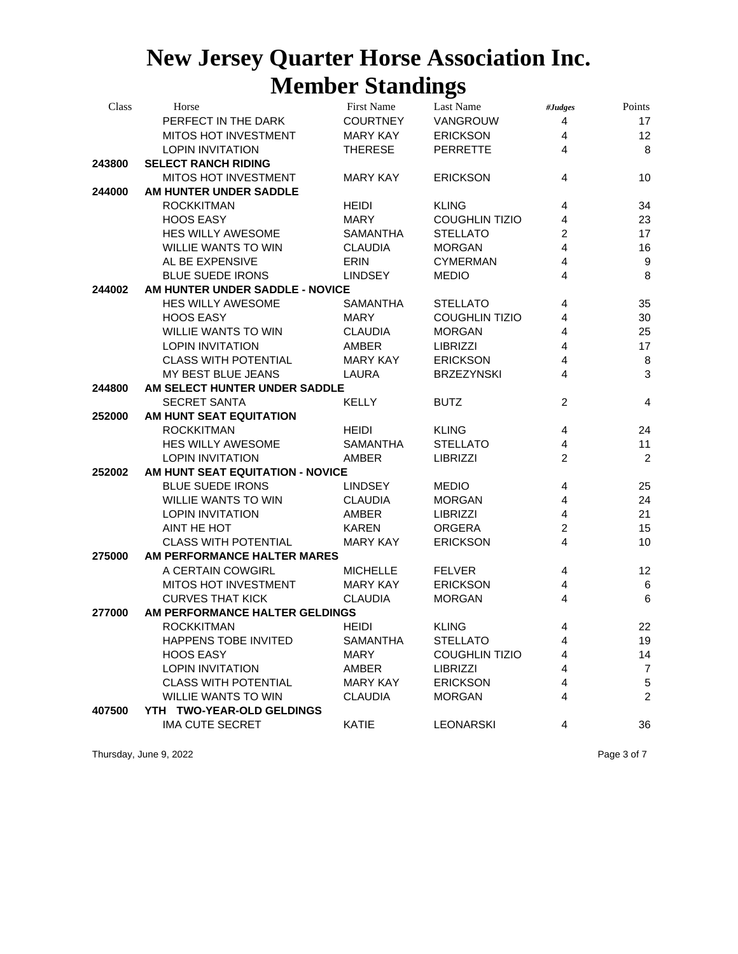| Class  | Horse                            | <b>First Name</b> | Last Name             | #Judges                 | Points          |  |  |
|--------|----------------------------------|-------------------|-----------------------|-------------------------|-----------------|--|--|
|        | PERFECT IN THE DARK              | <b>COURTNEY</b>   | VANGROUW              | $\overline{4}$          | 17              |  |  |
|        | MITOS HOT INVESTMENT             | <b>MARY KAY</b>   | <b>ERICKSON</b>       | $\overline{4}$          | 12              |  |  |
|        | <b>LOPIN INVITATION</b>          | <b>THERESE</b>    | <b>PERRETTE</b>       | $\overline{4}$          | 8               |  |  |
| 243800 | <b>SELECT RANCH RIDING</b>       |                   |                       |                         |                 |  |  |
|        | MITOS HOT INVESTMENT             | <b>MARY KAY</b>   | <b>ERICKSON</b>       | 4                       | 10              |  |  |
| 244000 | AM HUNTER UNDER SADDLE           |                   |                       |                         |                 |  |  |
|        | <b>ROCKKITMAN</b>                | <b>HEIDI</b>      | <b>KLING</b>          | 4                       | 34              |  |  |
|        | <b>HOOS EASY</b>                 | <b>MARY</b>       | <b>COUGHLIN TIZIO</b> | 4                       | 23              |  |  |
|        | <b>HES WILLY AWESOME</b>         | <b>SAMANTHA</b>   | <b>STELLATO</b>       | $\overline{c}$          | 17              |  |  |
|        | <b>WILLIE WANTS TO WIN</b>       | <b>CLAUDIA</b>    | <b>MORGAN</b>         | $\overline{4}$          | 16              |  |  |
|        | AL BE EXPENSIVE                  | <b>ERIN</b>       | <b>CYMERMAN</b>       | 4                       | 9               |  |  |
|        | <b>BLUE SUEDE IRONS</b>          | <b>LINDSEY</b>    | <b>MEDIO</b>          | $\overline{\mathbf{4}}$ | 8               |  |  |
| 244002 | AM HUNTER UNDER SADDLE - NOVICE  |                   |                       |                         |                 |  |  |
|        | <b>HES WILLY AWESOME</b>         | <b>SAMANTHA</b>   | <b>STELLATO</b>       | 4                       | 35              |  |  |
|        | <b>HOOS EASY</b>                 | <b>MARY</b>       | <b>COUGHLIN TIZIO</b> | 4                       | 30              |  |  |
|        | <b>WILLIE WANTS TO WIN</b>       | <b>CLAUDIA</b>    | <b>MORGAN</b>         | 4                       | 25              |  |  |
|        | <b>LOPIN INVITATION</b>          | AMBER             | <b>LIBRIZZI</b>       | 4                       | 17              |  |  |
|        | <b>CLASS WITH POTENTIAL</b>      | <b>MARY KAY</b>   | <b>ERICKSON</b>       | $\overline{4}$          | $\, 8$          |  |  |
|        | MY BEST BLUE JEANS               | LAURA             | <b>BRZEZYNSKI</b>     | $\overline{4}$          | $\mathbf{3}$    |  |  |
| 244800 | AM SELECT HUNTER UNDER SADDLE    |                   |                       |                         |                 |  |  |
|        | <b>SECRET SANTA</b>              | <b>KELLY</b>      | <b>BUTZ</b>           | 2                       | $\overline{4}$  |  |  |
| 252000 | AM HUNT SEAT EQUITATION          |                   |                       |                         |                 |  |  |
|        | <b>ROCKKITMAN</b>                | <b>HEIDI</b>      | <b>KLING</b>          | 4                       | 24              |  |  |
|        | <b>HES WILLY AWESOME</b>         | <b>SAMANTHA</b>   | <b>STELLATO</b>       | 4                       | 11              |  |  |
|        | <b>LOPIN INVITATION</b>          | AMBER             | <b>LIBRIZZI</b>       | $\overline{2}$          | $\overline{c}$  |  |  |
| 252002 | AM HUNT SEAT EQUITATION - NOVICE |                   |                       |                         |                 |  |  |
|        | <b>BLUE SUEDE IRONS</b>          | <b>LINDSEY</b>    | <b>MEDIO</b>          | 4                       | 25              |  |  |
|        | <b>WILLIE WANTS TO WIN</b>       | <b>CLAUDIA</b>    | <b>MORGAN</b>         | $\overline{4}$          | 24              |  |  |
|        | <b>LOPIN INVITATION</b>          | AMBER             | <b>LIBRIZZI</b>       | $\overline{4}$          | 21              |  |  |
|        | AINT HE HOT                      | <b>KAREN</b>      | <b>ORGERA</b>         | $\overline{c}$          | 15              |  |  |
|        | <b>CLASS WITH POTENTIAL</b>      | <b>MARY KAY</b>   | <b>ERICKSON</b>       | $\overline{\mathbf{4}}$ | 10              |  |  |
| 275000 | AM PERFORMANCE HALTER MARES      |                   |                       |                         |                 |  |  |
|        | A CERTAIN COWGIRL                | <b>MICHELLE</b>   | <b>FELVER</b>         | 4                       | 12              |  |  |
|        | MITOS HOT INVESTMENT             | <b>MARY KAY</b>   | <b>ERICKSON</b>       | $\overline{4}$          | $\,6$           |  |  |
|        | <b>CURVES THAT KICK</b>          | <b>CLAUDIA</b>    | <b>MORGAN</b>         | $\overline{\mathbf{4}}$ | $6\phantom{1}6$ |  |  |
| 277000 | AM PERFORMANCE HALTER GELDINGS   |                   |                       |                         |                 |  |  |
|        | <b>ROCKKITMAN</b>                | <b>HEIDI</b>      | <b>KLING</b>          | 4                       | 22              |  |  |
|        | HAPPENS TOBE INVITED             | SAMANTHA          | STELLATO              | 4                       | 19              |  |  |
|        | <b>HOOS EASY</b>                 | <b>MARY</b>       | <b>COUGHLIN TIZIO</b> | 4                       | 14              |  |  |
|        | <b>LOPIN INVITATION</b>          | AMBER             | <b>LIBRIZZI</b>       | 4                       | $\overline{7}$  |  |  |
|        | <b>CLASS WITH POTENTIAL</b>      | <b>MARY KAY</b>   | <b>ERICKSON</b>       | 4                       | $\,$ 5 $\,$     |  |  |
|        | <b>WILLIE WANTS TO WIN</b>       | <b>CLAUDIA</b>    | <b>MORGAN</b>         | 4                       | $\overline{2}$  |  |  |
| 407500 | YTH TWO-YEAR-OLD GELDINGS        |                   |                       |                         |                 |  |  |
|        | <b>IMA CUTE SECRET</b>           | <b>KATIE</b>      | <b>LEONARSKI</b>      | 4                       | 36              |  |  |
|        |                                  |                   |                       |                         |                 |  |  |

Thursday, June 9, 2022 **Page 3 of 7** Page 3 of 7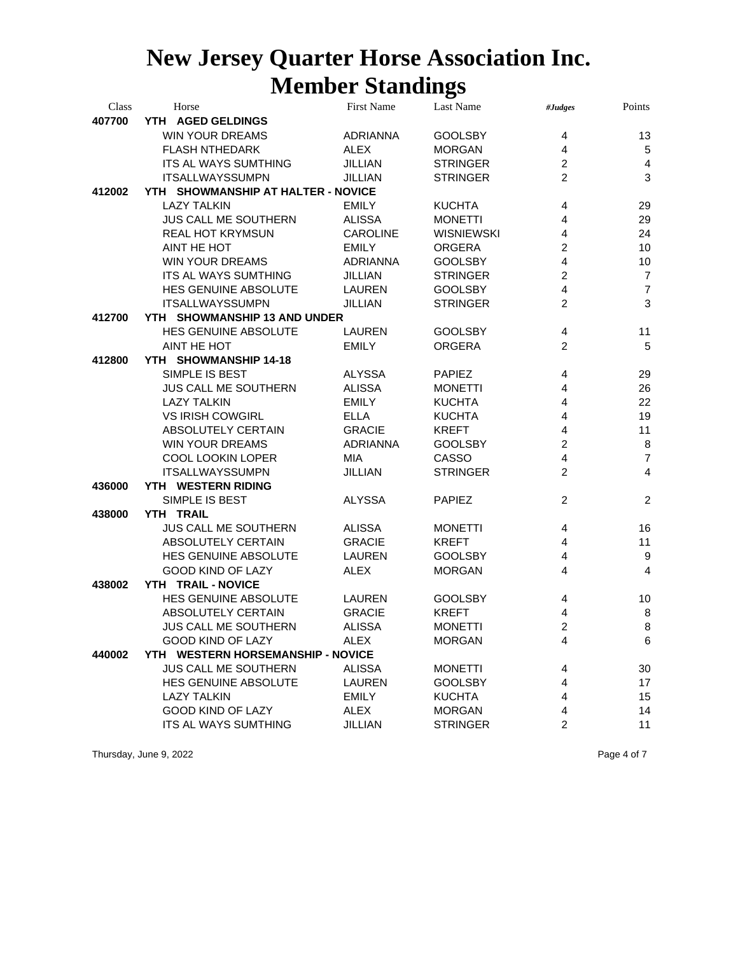| Class  | Horse                              | <b>First Name</b> | Last Name         | #Judges                 | Points                  |
|--------|------------------------------------|-------------------|-------------------|-------------------------|-------------------------|
| 407700 | YTH AGED GELDINGS                  |                   |                   |                         |                         |
|        | <b>WIN YOUR DREAMS</b>             | <b>ADRIANNA</b>   | <b>GOOLSBY</b>    | 4                       | 13                      |
|        | <b>FLASH NTHEDARK</b>              | <b>ALEX</b>       | <b>MORGAN</b>     | 4                       | 5                       |
|        | ITS AL WAYS SUMTHING               | <b>JILLIAN</b>    | <b>STRINGER</b>   | $\overline{c}$          | $\overline{\mathbf{4}}$ |
|        | <b>ITSALLWAYSSUMPN</b>             | <b>JILLIAN</b>    | <b>STRINGER</b>   | $\overline{2}$          | $\mathbf{3}$            |
| 412002 | YTH SHOWMANSHIP AT HALTER - NOVICE |                   |                   |                         |                         |
|        | <b>LAZY TALKIN</b>                 | <b>EMILY</b>      | <b>KUCHTA</b>     | $\overline{4}$          | 29                      |
|        | JUS CALL ME SOUTHERN               | <b>ALISSA</b>     | <b>MONETTI</b>    | $\overline{4}$          | 29                      |
|        | <b>REAL HOT KRYMSUN</b>            | <b>CAROLINE</b>   | <b>WISNIEWSKI</b> | 4                       | 24                      |
|        | AINT HE HOT                        | <b>EMILY</b>      | <b>ORGERA</b>     | $\overline{c}$          | 10                      |
|        | <b>WIN YOUR DREAMS</b>             | <b>ADRIANNA</b>   | <b>GOOLSBY</b>    | 4                       | 10                      |
|        | <b>ITS AL WAYS SUMTHING</b>        | <b>JILLIAN</b>    | <b>STRINGER</b>   | $\overline{c}$          | $\overline{7}$          |
|        | HES GENUINE ABSOLUTE               | <b>LAUREN</b>     | <b>GOOLSBY</b>    | 4                       | $\overline{7}$          |
|        | <b>ITSALLWAYSSUMPN</b>             | <b>JILLIAN</b>    | <b>STRINGER</b>   | $\overline{2}$          | 3                       |
| 412700 | YTH SHOWMANSHIP 13 AND UNDER       |                   |                   |                         |                         |
|        | HES GENUINE ABSOLUTE               | LAUREN            | <b>GOOLSBY</b>    | 4                       | 11                      |
|        | AINT HE HOT                        | <b>EMILY</b>      | <b>ORGERA</b>     | $\overline{2}$          | 5                       |
| 412800 | YTH SHOWMANSHIP 14-18              |                   |                   |                         |                         |
|        | SIMPLE IS BEST                     | <b>ALYSSA</b>     | <b>PAPIEZ</b>     | 4                       | 29                      |
|        | <b>JUS CALL ME SOUTHERN</b>        | <b>ALISSA</b>     | <b>MONETTI</b>    | 4                       | 26                      |
|        | <b>LAZY TALKIN</b>                 | <b>EMILY</b>      | <b>KUCHTA</b>     | 4                       | 22                      |
|        | <b>VS IRISH COWGIRL</b>            | <b>ELLA</b>       | <b>KUCHTA</b>     | 4                       | 19                      |
|        | ABSOLUTELY CERTAIN                 | <b>GRACIE</b>     | <b>KREFT</b>      | $\overline{4}$          | 11                      |
|        | <b>WIN YOUR DREAMS</b>             | <b>ADRIANNA</b>   | <b>GOOLSBY</b>    | $\overline{c}$          | 8                       |
|        | COOL LOOKIN LOPER                  | MIA               | CASSO             | 4                       | $\overline{7}$          |
|        | <b>ITSALLWAYSSUMPN</b>             | <b>JILLIAN</b>    | <b>STRINGER</b>   | $\overline{c}$          | $\overline{\mathbf{4}}$ |
| 436000 | YTH WESTERN RIDING                 |                   |                   |                         |                         |
|        | SIMPLE IS BEST                     | <b>ALYSSA</b>     | <b>PAPIEZ</b>     | 2                       | $\overline{2}$          |
| 438000 | YTH TRAIL                          |                   |                   |                         |                         |
|        | JUS CALL ME SOUTHERN               | <b>ALISSA</b>     | <b>MONETTI</b>    | 4                       | 16                      |
|        | ABSOLUTELY CERTAIN                 | <b>GRACIE</b>     | <b>KREFT</b>      | 4                       | 11                      |
|        | HES GENUINE ABSOLUTE               | LAUREN            | <b>GOOLSBY</b>    | 4                       | 9                       |
|        | <b>GOOD KIND OF LAZY</b>           | <b>ALEX</b>       | <b>MORGAN</b>     | $\overline{4}$          | $\overline{4}$          |
| 438002 | YTH TRAIL - NOVICE                 |                   |                   |                         |                         |
|        | HES GENUINE ABSOLUTE               | LAUREN            | <b>GOOLSBY</b>    | 4                       | 10                      |
|        | ABSOLUTELY CERTAIN                 | <b>GRACIE</b>     | <b>KREFT</b>      | 4                       | 8                       |
|        | JUS CALL ME SOUTHERN               | <b>ALISSA</b>     | <b>MONETTI</b>    | $\overline{c}$          | 8                       |
|        | GOOD KIND OF LAZY                  | ALEX              | <b>MORGAN</b>     | $\overline{\mathbf{4}}$ | $6\phantom{a}$          |
| 440002 | YTH WESTERN HORSEMANSHIP - NOVICE  |                   |                   |                         |                         |
|        | <b>JUS CALL ME SOUTHERN</b>        | <b>ALISSA</b>     | <b>MONETTI</b>    | 4                       | 30                      |
|        | HES GENUINE ABSOLUTE               | <b>LAUREN</b>     | <b>GOOLSBY</b>    | 4                       | 17                      |
|        | <b>LAZY TALKIN</b>                 | <b>EMILY</b>      | <b>KUCHTA</b>     | 4                       | 15                      |
|        | GOOD KIND OF LAZY                  | <b>ALEX</b>       | <b>MORGAN</b>     | 4                       | 14                      |
|        | <b>ITS AL WAYS SUMTHING</b>        | <b>JILLIAN</b>    | <b>STRINGER</b>   | 2                       | 11                      |

Thursday, June 9, 2022 **Page 4 of 7** Page 4 of 7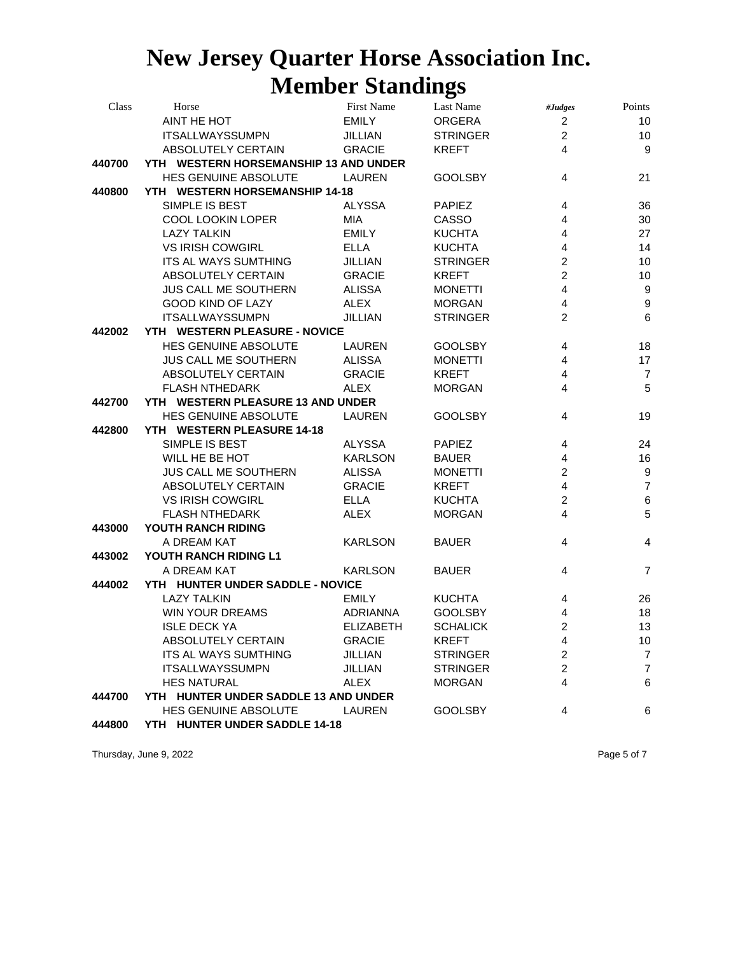| Class  | Horse                                 | First Name       | Last Name       | #Judges        | Points           |
|--------|---------------------------------------|------------------|-----------------|----------------|------------------|
|        | AINT HE HOT                           | <b>EMILY</b>     | <b>ORGERA</b>   | $\overline{c}$ | 10               |
|        | <b>ITSALLWAYSSUMPN</b>                | JILLIAN          | <b>STRINGER</b> | $\overline{a}$ | 10               |
|        | ABSOLUTELY CERTAIN                    | <b>GRACIE</b>    | <b>KREFT</b>    | $\overline{4}$ | 9                |
| 440700 | YTH WESTERN HORSEMANSHIP 13 AND UNDER |                  |                 |                |                  |
|        | HES GENUINE ABSOLUTE                  | <b>LAUREN</b>    | <b>GOOLSBY</b>  | 4              | 21               |
| 440800 | YTH WESTERN HORSEMANSHIP 14-18        |                  |                 |                |                  |
|        | SIMPLE IS BEST                        | <b>ALYSSA</b>    | <b>PAPIEZ</b>   | 4              | 36               |
|        | COOL LOOKIN LOPER                     | MIA              | CASSO           | $\overline{4}$ | 30               |
|        | <b>LAZY TALKIN</b>                    | <b>EMILY</b>     | <b>KUCHTA</b>   | $\overline{4}$ | 27               |
|        | <b>VS IRISH COWGIRL</b>               | <b>ELLA</b>      | <b>KUCHTA</b>   | $\overline{4}$ | 14               |
|        | ITS AL WAYS SUMTHING                  | <b>JILLIAN</b>   | <b>STRINGER</b> | $\overline{c}$ | 10               |
|        | ABSOLUTELY CERTAIN                    | <b>GRACIE</b>    | <b>KREFT</b>    | $\overline{c}$ | 10               |
|        | <b>JUS CALL ME SOUTHERN</b>           | <b>ALISSA</b>    | <b>MONETTI</b>  | $\overline{4}$ | $9\,$            |
|        | GOOD KIND OF LAZY                     | ALEX             | <b>MORGAN</b>   | $\overline{4}$ | $\boldsymbol{9}$ |
|        | <b>ITSALLWAYSSUMPN</b>                | <b>JILLIAN</b>   | <b>STRINGER</b> | $\overline{2}$ | $\,6\,$          |
| 442002 | YTH WESTERN PLEASURE - NOVICE         |                  |                 |                |                  |
|        | HES GENUINE ABSOLUTE                  | LAUREN           | <b>GOOLSBY</b>  | 4              | 18               |
|        | <b>JUS CALL ME SOUTHERN</b>           | ALISSA           | <b>MONETTI</b>  | $\overline{4}$ | 17               |
|        | ABSOLUTELY CERTAIN                    | <b>GRACIE</b>    | <b>KREFT</b>    | $\overline{4}$ | $\overline{7}$   |
|        | <b>FLASH NTHEDARK</b>                 | ALEX             | <b>MORGAN</b>   | $\overline{4}$ | $\overline{5}$   |
| 442700 | YTH WESTERN PLEASURE 13 AND UNDER     |                  |                 |                |                  |
|        | HES GENUINE ABSOLUTE                  | <b>LAUREN</b>    | <b>GOOLSBY</b>  | 4              | 19               |
| 442800 | YTH WESTERN PLEASURE 14-18            |                  |                 |                |                  |
|        | SIMPLE IS BEST                        | <b>ALYSSA</b>    | <b>PAPIEZ</b>   | 4              | 24               |
|        | WILL HE BE HOT                        | <b>KARLSON</b>   | <b>BAUER</b>    | $\overline{4}$ | 16               |
|        | <b>JUS CALL ME SOUTHERN</b>           | <b>ALISSA</b>    | <b>MONETTI</b>  | $\overline{2}$ | $9\,$            |
|        | ABSOLUTELY CERTAIN                    | <b>GRACIE</b>    | <b>KREFT</b>    | $\overline{4}$ | $\overline{7}$   |
|        | <b>VS IRISH COWGIRL</b>               | ELLA             | <b>KUCHTA</b>   | $\overline{a}$ | 6                |
|        | <b>FLASH NTHEDARK</b>                 | <b>ALEX</b>      | <b>MORGAN</b>   | $\overline{4}$ | 5                |
| 443000 | YOUTH RANCH RIDING                    |                  |                 |                |                  |
|        | A DREAM KAT                           | <b>KARLSON</b>   | <b>BAUER</b>    | 4              | 4                |
| 443002 | YOUTH RANCH RIDING L1                 |                  |                 |                |                  |
|        | A DREAM KAT                           | <b>KARLSON</b>   | <b>BAUER</b>    | $\overline{4}$ | $\overline{7}$   |
| 444002 | YTH HUNTER UNDER SADDLE - NOVICE      |                  |                 |                |                  |
|        | <b>LAZY TALKIN</b>                    | <b>EMILY</b>     | <b>KUCHTA</b>   | 4              | 26               |
|        | <b>WIN YOUR DREAMS</b>                | ADRIANNA         | <b>GOOLSBY</b>  | 4              | 18               |
|        | <b>ISLE DECK YA</b>                   | <b>ELIZABETH</b> | <b>SCHALICK</b> | $\overline{c}$ | 13               |
|        | ABSOLUTELY CERTAIN                    | <b>GRACIE</b>    | <b>KREFT</b>    | 4              | 10               |
|        | <b>ITS AL WAYS SUMTHING</b>           | <b>JILLIAN</b>   | <b>STRINGER</b> | 2              | $\overline{7}$   |
|        | <b>ITSALLWAYSSUMPN</b>                | JILLIAN          | <b>STRINGER</b> | $\overline{c}$ | $\overline{7}$   |
|        | <b>HES NATURAL</b>                    | ALEX             | <b>MORGAN</b>   | $\overline{4}$ | 6                |
| 444700 | YTH HUNTER UNDER SADDLE 13 AND UNDER  |                  |                 |                |                  |
|        | HES GENUINE ABSOLUTE                  | <b>LAUREN</b>    | <b>GOOLSBY</b>  | 4              | 6                |
| 444800 | YTH HUNTER UNDER SADDLE 14-18         |                  |                 |                |                  |

Thursday, June 9, 2022 **Page 5 of 7** Page 5 of 7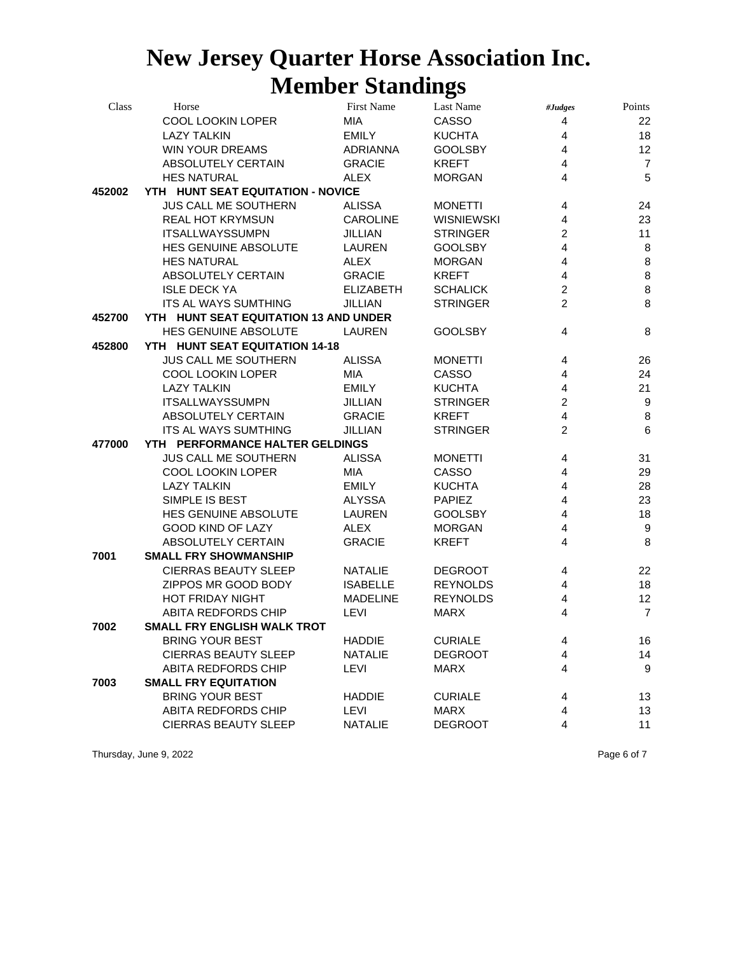| Class  | Horse                                 | First Name       | Last Name         | #Judges                 | Points           |
|--------|---------------------------------------|------------------|-------------------|-------------------------|------------------|
|        | COOL LOOKIN LOPER                     | MIA              | CASSO             | 4                       | 22               |
|        | <b>LAZY TALKIN</b>                    | EMILY            | <b>KUCHTA</b>     | $\overline{4}$          | 18               |
|        | <b>WIN YOUR DREAMS</b>                | <b>ADRIANNA</b>  | <b>GOOLSBY</b>    | $\overline{4}$          | 12               |
|        | ABSOLUTELY CERTAIN                    | <b>GRACIE</b>    | <b>KREFT</b>      | $\overline{4}$          | $\overline{7}$   |
|        | <b>HES NATURAL</b>                    | ALEX             | <b>MORGAN</b>     | $\overline{4}$          | 5                |
| 452002 | YTH HUNT SEAT EQUITATION - NOVICE     |                  |                   |                         |                  |
|        | <b>JUS CALL ME SOUTHERN</b>           | <b>ALISSA</b>    | <b>MONETTI</b>    | $\overline{4}$          | 24               |
|        | <b>REAL HOT KRYMSUN</b>               | <b>CAROLINE</b>  | <b>WISNIEWSKI</b> | 4                       | 23               |
|        | <b>ITSALLWAYSSUMPN</b>                | <b>JILLIAN</b>   | <b>STRINGER</b>   | $\overline{c}$          | 11               |
|        | HES GENUINE ABSOLUTE                  | LAUREN           | <b>GOOLSBY</b>    | $\overline{4}$          | 8                |
|        | <b>HES NATURAL</b>                    | <b>ALEX</b>      | <b>MORGAN</b>     | $\overline{4}$          | $\bf 8$          |
|        | ABSOLUTELY CERTAIN                    | <b>GRACIE</b>    | <b>KREFT</b>      | $\overline{4}$          | $\bf 8$          |
|        | <b>ISLE DECK YA</b>                   | <b>ELIZABETH</b> | <b>SCHALICK</b>   | $\boldsymbol{2}$        | $\bf 8$          |
|        | ITS AL WAYS SUMTHING                  | <b>JILLIAN</b>   | <b>STRINGER</b>   | $\overline{2}$          | $\bf 8$          |
| 452700 | YTH HUNT SEAT EQUITATION 13 AND UNDER |                  |                   |                         |                  |
|        | HES GENUINE ABSOLUTE                  | <b>LAUREN</b>    | <b>GOOLSBY</b>    | $\overline{4}$          | 8                |
| 452800 | YTH HUNT SEAT EQUITATION 14-18        |                  |                   |                         |                  |
|        | JUS CALL ME SOUTHERN                  | <b>ALISSA</b>    | <b>MONETTI</b>    | 4                       | 26               |
|        | COOL LOOKIN LOPER                     | MIA              | CASSO             | $\overline{4}$          | 24               |
|        | <b>LAZY TALKIN</b>                    | EMILY            | <b>KUCHTA</b>     | $\overline{4}$          | 21               |
|        | <b>ITSALLWAYSSUMPN</b>                | <b>JILLIAN</b>   | <b>STRINGER</b>   | $\overline{c}$          | $9\,$            |
|        | ABSOLUTELY CERTAIN                    | <b>GRACIE</b>    | <b>KREFT</b>      | $\overline{4}$          | $\,8\,$          |
|        | ITS AL WAYS SUMTHING                  | <b>JILLIAN</b>   | <b>STRINGER</b>   | $\overline{2}$          | $6\phantom{1}6$  |
| 477000 | YTH PERFORMANCE HALTER GELDINGS       |                  |                   |                         |                  |
|        | <b>JUS CALL ME SOUTHERN</b>           | <b>ALISSA</b>    | <b>MONETTI</b>    | 4                       | 31               |
|        | COOL LOOKIN LOPER                     | MIA              | CASSO             | $\overline{4}$          | 29               |
|        | <b>LAZY TALKIN</b>                    | <b>EMILY</b>     | <b>KUCHTA</b>     | $\overline{\mathbf{4}}$ | 28               |
|        | SIMPLE IS BEST                        | <b>ALYSSA</b>    | <b>PAPIEZ</b>     | $\overline{4}$          | 23               |
|        | HES GENUINE ABSOLUTE                  | <b>LAUREN</b>    | <b>GOOLSBY</b>    | $\overline{\mathbf{4}}$ | 18               |
|        | GOOD KIND OF LAZY                     | <b>ALEX</b>      | <b>MORGAN</b>     | 4                       | 9                |
|        | ABSOLUTELY CERTAIN                    | <b>GRACIE</b>    | <b>KREFT</b>      | $\overline{4}$          | $\bf 8$          |
| 7001   | <b>SMALL FRY SHOWMANSHIP</b>          |                  |                   |                         |                  |
|        | <b>CIERRAS BEAUTY SLEEP</b>           | <b>NATALIE</b>   | <b>DEGROOT</b>    | 4                       | 22               |
|        | ZIPPOS MR GOOD BODY                   | <b>ISABELLE</b>  | <b>REYNOLDS</b>   | 4                       | 18               |
|        | HOT FRIDAY NIGHT                      | <b>MADELINE</b>  | <b>REYNOLDS</b>   | $\overline{\mathbf{4}}$ | 12               |
|        | ABITA REDFORDS CHIP                   | LEVI             | <b>MARX</b>       | $\overline{4}$          | $\overline{7}$   |
| 7002   | <b>SMALL FRY ENGLISH WALK TROT</b>    |                  |                   |                         |                  |
|        | <b>BRING YOUR BEST</b>                | <b>HADDIE</b>    | <b>CURIALE</b>    | 4                       | 16               |
|        | <b>CIERRAS BEAUTY SLEEP</b>           | <b>NATALIE</b>   | <b>DEGROOT</b>    | 4                       | 14               |
|        | ABITA REDFORDS CHIP                   | LEVI             | <b>MARX</b>       | 4                       | $\boldsymbol{9}$ |
| 7003   | <b>SMALL FRY EQUITATION</b>           |                  |                   |                         |                  |
|        | <b>BRING YOUR BEST</b>                | <b>HADDIE</b>    | <b>CURIALE</b>    | 4                       | 13               |
|        | ABITA REDFORDS CHIP                   | LEVI             | <b>MARX</b>       | 4                       | 13               |
|        | <b>CIERRAS BEAUTY SLEEP</b>           | <b>NATALIE</b>   | <b>DEGROOT</b>    | $\overline{4}$          | 11               |

Thursday, June 9, 2022 **Page 6 of 7** Page 6 of 7